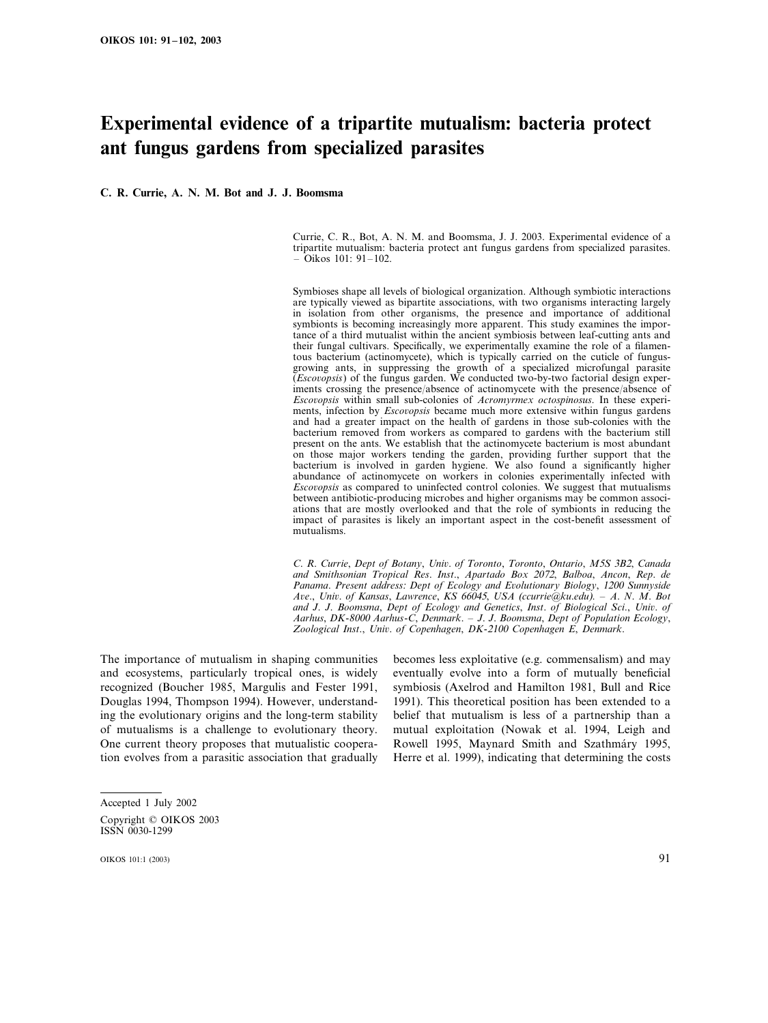# **Experimental evidence of a tripartite mutualism: bacteria protect ant fungus gardens from specialized parasites**

**C. R. Currie, A. N. M. Bot and J. J. Boomsma**

Currie, C. R., Bot, A. N. M. and Boomsma, J. J. 2003. Experimental evidence of a tripartite mutualism: bacteria protect ant fungus gardens from specialized parasites. – Oikos 101: 91–102.

Symbioses shape all levels of biological organization. Although symbiotic interactions are typically viewed as bipartite associations, with two organisms interacting largely in isolation from other organisms, the presence and importance of additional symbionts is becoming increasingly more apparent. This study examines the importance of a third mutualist within the ancient symbiosis between leaf-cutting ants and their fungal cultivars. Specifically, we experimentally examine the role of a filamentous bacterium (actinomycete), which is typically carried on the cuticle of fungusgrowing ants, in suppressing the growth of a specialized microfungal parasite (*Escoopsis*) of the fungus garden. We conducted two-by-two factorial design experiments crossing the presence/absence of actinomycete with the presence/absence of *Escoopsis* within small sub-colonies of *Acromyrmex octospinosus*. In these experiments, infection by *Escoopsis* became much more extensive within fungus gardens and had a greater impact on the health of gardens in those sub-colonies with the bacterium removed from workers as compared to gardens with the bacterium still present on the ants. We establish that the actinomycete bacterium is most abundant on those major workers tending the garden, providing further support that the bacterium is involved in garden hygiene. We also found a significantly higher abundance of actinomycete on workers in colonies experimentally infected with *Escoopsis* as compared to uninfected control colonies. We suggest that mutualisms between antibiotic-producing microbes and higher organisms may be common associations that are mostly overlooked and that the role of symbionts in reducing the impact of parasites is likely an important aspect in the cost-benefit assessment of mutualisms.

*C*. *R*. *Currie*, *Dept of Botany*, *Uni*. *of Toronto*, *Toronto*, *Ontario*, *M*5*S* <sup>3</sup>*B*2, *Canada and Smithsonian Tropical Res*. *Inst*., *Apartado Box* 2072, *Balboa*, *Ancon*, *Rep*. *de Panama*. *Present address*: *Dept of Ecology and Eolutionary Biology*, <sup>1200</sup> *Sunnyside Ae*., *Uni*. *of Kansas*, *Lawrence*, *KS* <sup>66045</sup>, *USA* (*ccurrie@ku*.*edu*). – *A*. *N*. *M*. *Bot and J*. *J*. *Boomsma*, *Dept of Ecology and Genetics*, *Inst*. *of Biological Sci*., *Uni*. *of Aarhus*, *DK*-8000 *Aarhus*-*C*, *Denmark*. – *J*. *J*. *Boomsma*, *Dept of Population Ecology*, *Zoological Inst*., *Uni*. *of Copenhagen*, *DK*-<sup>2100</sup> *Copenhagen E*, *Denmark*.

The importance of mutualism in shaping communities and ecosystems, particularly tropical ones, is widely recognized (Boucher 1985, Margulis and Fester 1991, Douglas 1994, Thompson 1994). However, understanding the evolutionary origins and the long-term stability of mutualisms is a challenge to evolutionary theory. One current theory proposes that mutualistic cooperation evolves from a parasitic association that gradually

becomes less exploitative (e.g. commensalism) and may eventually evolve into a form of mutually beneficial symbiosis (Axelrod and Hamilton 1981, Bull and Rice 1991). This theoretical position has been extended to a belief that mutualism is less of a partnership than a mutual exploitation (Nowak et al. 1994, Leigh and Rowell 1995, Maynard Smith and Szathmáry 1995, Herre et al. 1999), indicating that determining the costs

Accepted 1 July 2002 Copyright © OIKOS 2003 ISSN 0030-1299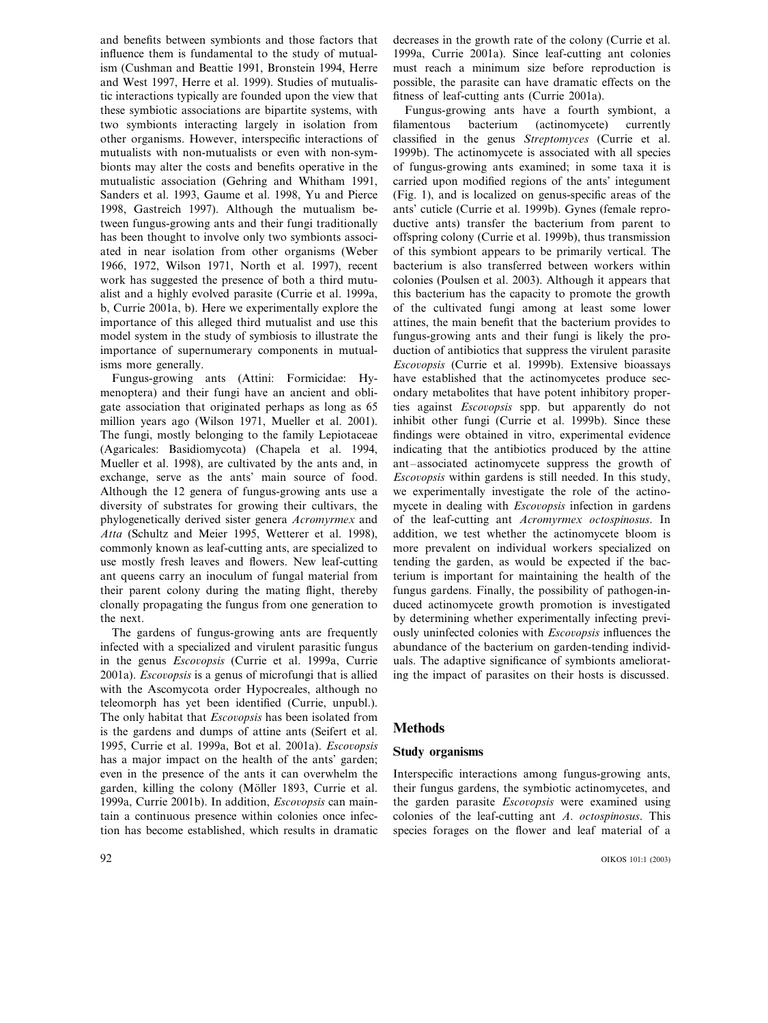and benefits between symbionts and those factors that influence them is fundamental to the study of mutualism (Cushman and Beattie 1991, Bronstein 1994, Herre and West 1997, Herre et al. 1999). Studies of mutualistic interactions typically are founded upon the view that these symbiotic associations are bipartite systems, with two symbionts interacting largely in isolation from other organisms. However, interspecific interactions of mutualists with non-mutualists or even with non-symbionts may alter the costs and benefits operative in the mutualistic association (Gehring and Whitham 1991, Sanders et al. 1993, Gaume et al. 1998, Yu and Pierce 1998, Gastreich 1997). Although the mutualism between fungus-growing ants and their fungi traditionally has been thought to involve only two symbionts associated in near isolation from other organisms (Weber 1966, 1972, Wilson 1971, North et al. 1997), recent work has suggested the presence of both a third mutualist and a highly evolved parasite (Currie et al. 1999a, b, Currie 2001a, b). Here we experimentally explore the importance of this alleged third mutualist and use this model system in the study of symbiosis to illustrate the importance of supernumerary components in mutualisms more generally.

Fungus-growing ants (Attini: Formicidae: Hymenoptera) and their fungi have an ancient and obligate association that originated perhaps as long as 65 million years ago (Wilson 1971, Mueller et al. 2001). The fungi, mostly belonging to the family Lepiotaceae (Agaricales: Basidiomycota) (Chapela et al. 1994, Mueller et al. 1998), are cultivated by the ants and, in exchange, serve as the ants' main source of food. Although the 12 genera of fungus-growing ants use a diversity of substrates for growing their cultivars, the phylogenetically derived sister genera *Acromyrmex* and *Atta* (Schultz and Meier 1995, Wetterer et al. 1998), commonly known as leaf-cutting ants, are specialized to use mostly fresh leaves and flowers. New leaf-cutting ant queens carry an inoculum of fungal material from their parent colony during the mating flight, thereby clonally propagating the fungus from one generation to the next.

The gardens of fungus-growing ants are frequently infected with a specialized and virulent parasitic fungus in the genus *Escoopsis* (Currie et al. 1999a, Currie 2001a). *Escoopsis* is a genus of microfungi that is allied with the Ascomycota order Hypocreales, although no teleomorph has yet been identified (Currie, unpubl.). The only habitat that *Escoopsis* has been isolated from is the gardens and dumps of attine ants (Seifert et al. 1995, Currie et al. 1999a, Bot et al. 2001a). *Escoopsis* has a major impact on the health of the ants' garden; even in the presence of the ants it can overwhelm the garden, killing the colony (Möller 1893, Currie et al. 1999a, Currie 2001b). In addition, *Escoopsis* can maintain a continuous presence within colonies once infection has become established, which results in dramatic

decreases in the growth rate of the colony (Currie et al. 1999a, Currie 2001a). Since leaf-cutting ant colonies must reach a minimum size before reproduction is possible, the parasite can have dramatic effects on the fitness of leaf-cutting ants (Currie 2001a).

Fungus-growing ants have a fourth symbiont, a filamentous bacterium (actinomycete) currently classified in the genus *Streptomyces* (Currie et al. 1999b). The actinomycete is associated with all species of fungus-growing ants examined; in some taxa it is carried upon modified regions of the ants' integument (Fig. 1), and is localized on genus-specific areas of the ants' cuticle (Currie et al. 1999b). Gynes (female reproductive ants) transfer the bacterium from parent to offspring colony (Currie et al. 1999b), thus transmission of this symbiont appears to be primarily vertical. The bacterium is also transferred between workers within colonies (Poulsen et al. 2003). Although it appears that this bacterium has the capacity to promote the growth of the cultivated fungi among at least some lower attines, the main benefit that the bacterium provides to fungus-growing ants and their fungi is likely the production of antibiotics that suppress the virulent parasite *Escoopsis* (Currie et al. 1999b). Extensive bioassays have established that the actinomycetes produce secondary metabolites that have potent inhibitory properties against *Escoopsis* spp. but apparently do not inhibit other fungi (Currie et al. 1999b). Since these findings were obtained in vitro, experimental evidence indicating that the antibiotics produced by the attine ant–associated actinomycete suppress the growth of *Escoopsis* within gardens is still needed. In this study, we experimentally investigate the role of the actinomycete in dealing with *Escoopsis* infection in gardens of the leaf-cutting ant *Acromyrmex octospinosus*. In addition, we test whether the actinomycete bloom is more prevalent on individual workers specialized on tending the garden, as would be expected if the bacterium is important for maintaining the health of the fungus gardens. Finally, the possibility of pathogen-induced actinomycete growth promotion is investigated by determining whether experimentally infecting previously uninfected colonies with *Escoopsis* influences the abundance of the bacterium on garden-tending individuals. The adaptive significance of symbionts ameliorating the impact of parasites on their hosts is discussed.

## **Methods**

## **Study organisms**

Interspecific interactions among fungus-growing ants, their fungus gardens, the symbiotic actinomycetes, and the garden parasite *Escoopsis* were examined using colonies of the leaf-cutting ant *A*. *octospinosus*. This species forages on the flower and leaf material of a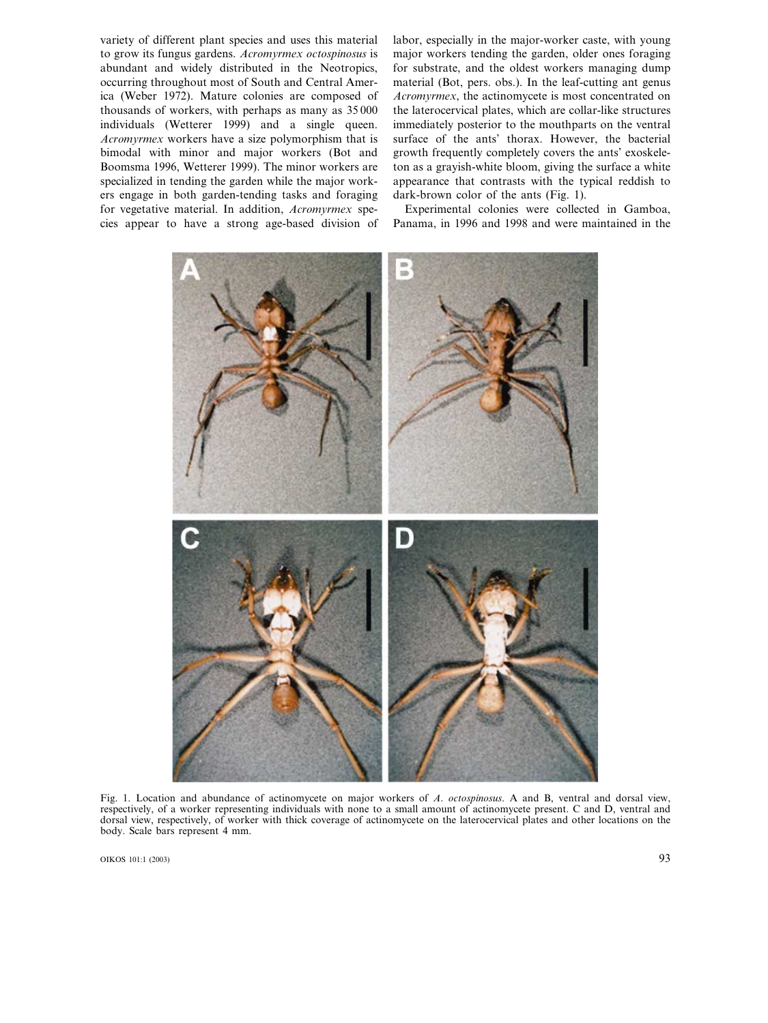variety of different plant species and uses this material to grow its fungus gardens. *Acromyrmex octospinosus* is abundant and widely distributed in the Neotropics, occurring throughout most of South and Central America (Weber 1972). Mature colonies are composed of thousands of workers, with perhaps as many as 35 000 individuals (Wetterer 1999) and a single queen. *Acromyrmex* workers have a size polymorphism that is bimodal with minor and major workers (Bot and Boomsma 1996, Wetterer 1999). The minor workers are specialized in tending the garden while the major workers engage in both garden-tending tasks and foraging for vegetative material. In addition, *Acromyrmex* species appear to have a strong age-based division of labor, especially in the major-worker caste, with young major workers tending the garden, older ones foraging for substrate, and the oldest workers managing dump material (Bot, pers. obs.). In the leaf-cutting ant genus *Acromyrmex*, the actinomycete is most concentrated on the laterocervical plates, which are collar-like structures immediately posterior to the mouthparts on the ventral surface of the ants' thorax. However, the bacterial growth frequently completely covers the ants' exoskeleton as a grayish-white bloom, giving the surface a white appearance that contrasts with the typical reddish to dark-brown color of the ants (Fig. 1).

Experimental colonies were collected in Gamboa, Panama, in 1996 and 1998 and were maintained in the



Fig. 1. Location and abundance of actinomycete on major workers of *A*. *octospinosus*. A and B, ventral and dorsal view, respectively, of a worker representing individuals with none to a small amount of actinomycete present. C and D, ventral and dorsal view, respectively, of worker with thick coverage of actinomycete on the laterocervical plates and other locations on the body. Scale bars represent 4 mm.

OIKOS 101:1 (2003) 93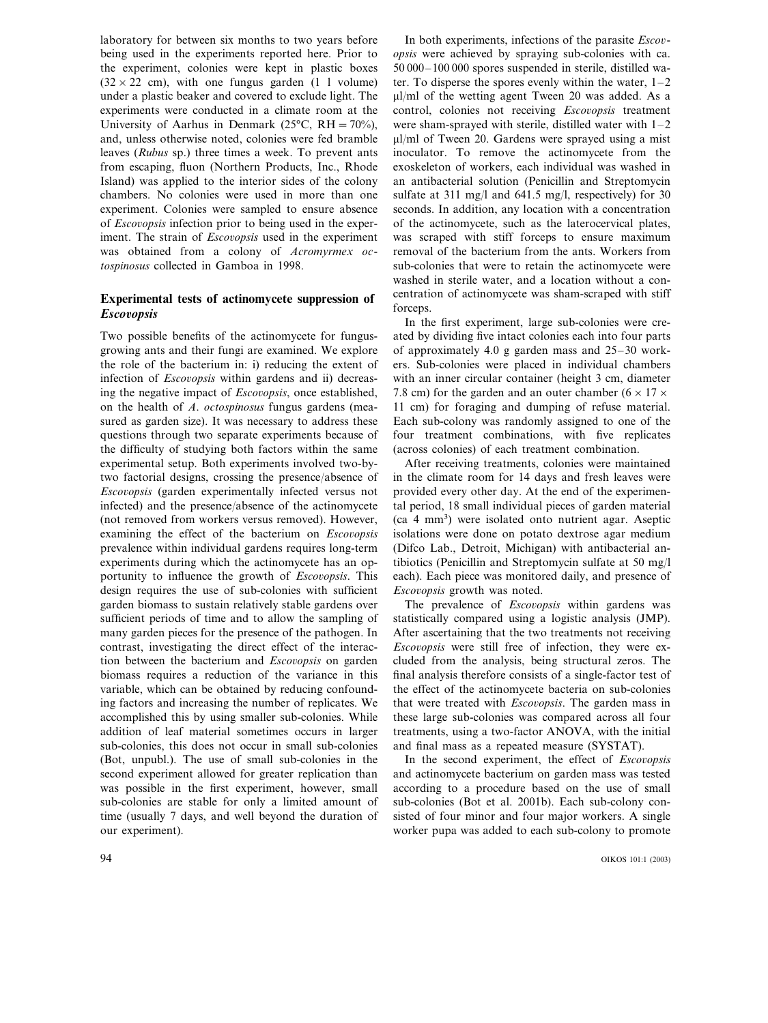laboratory for between six months to two years before being used in the experiments reported here. Prior to the experiment, colonies were kept in plastic boxes  $(32 \times 22$  cm), with one fungus garden (1 l volume) under a plastic beaker and covered to exclude light. The experiments were conducted in a climate room at the University of Aarhus in Denmark (25 $^{\circ}$ C, RH = 70%), and, unless otherwise noted, colonies were fed bramble leaves (*Rubus* sp.) three times a week. To prevent ants from escaping, fluon (Northern Products, Inc., Rhode Island) was applied to the interior sides of the colony chambers. No colonies were used in more than one experiment. Colonies were sampled to ensure absence of *Escoopsis* infection prior to being used in the experiment. The strain of *Escoopsis* used in the experiment was obtained from a colony of *Acromyrmex octospinosus* collected in Gamboa in 1998.

## **Experimental tests of actinomycete suppression of** *Esco*-*opsis*

Two possible benefits of the actinomycete for fungusgrowing ants and their fungi are examined. We explore the role of the bacterium in: i) reducing the extent of infection of *Escoopsis* within gardens and ii) decreasing the negative impact of *Escoopsis*, once established, on the health of *A*. *octospinosus* fungus gardens (measured as garden size). It was necessary to address these questions through two separate experiments because of the difficulty of studying both factors within the same experimental setup. Both experiments involved two-bytwo factorial designs, crossing the presence/absence of *Escoopsis* (garden experimentally infected versus not infected) and the presence/absence of the actinomycete (not removed from workers versus removed). However, examining the effect of the bacterium on *Escoopsis* prevalence within individual gardens requires long-term experiments during which the actinomycete has an opportunity to influence the growth of *Escoopsis*. This design requires the use of sub-colonies with sufficient garden biomass to sustain relatively stable gardens over sufficient periods of time and to allow the sampling of many garden pieces for the presence of the pathogen. In contrast, investigating the direct effect of the interaction between the bacterium and *Escoopsis* on garden biomass requires a reduction of the variance in this variable, which can be obtained by reducing confounding factors and increasing the number of replicates. We accomplished this by using smaller sub-colonies. While addition of leaf material sometimes occurs in larger sub-colonies, this does not occur in small sub-colonies (Bot, unpubl.). The use of small sub-colonies in the second experiment allowed for greater replication than was possible in the first experiment, however, small sub-colonies are stable for only a limited amount of time (usually 7 days, and well beyond the duration of our experiment).

In both experiments, infections of the parasite *Esco opsis* were achieved by spraying sub-colonies with ca. 50 000–100 000 spores suspended in sterile, distilled water. To disperse the spores evenly within the water,  $1-2$ l/ml of the wetting agent Tween 20 was added. As a control, colonies not receiving *Escoopsis* treatment were sham-sprayed with sterile, distilled water with 1–2  $\mu$ l/ml of Tween 20. Gardens were sprayed using a mist inoculator. To remove the actinomycete from the exoskeleton of workers, each individual was washed in an antibacterial solution (Penicillin and Streptomycin sulfate at 311 mg/l and 641.5 mg/l, respectively) for 30 seconds. In addition, any location with a concentration of the actinomycete, such as the laterocervical plates, was scraped with stiff forceps to ensure maximum removal of the bacterium from the ants. Workers from sub-colonies that were to retain the actinomycete were washed in sterile water, and a location without a concentration of actinomycete was sham-scraped with stiff forceps.

In the first experiment, large sub-colonies were created by dividing five intact colonies each into four parts of approximately 4.0 g garden mass and 25–30 workers. Sub-colonies were placed in individual chambers with an inner circular container (height 3 cm, diameter 7.8 cm) for the garden and an outer chamber ( $6 \times 17 \times$ 11 cm) for foraging and dumping of refuse material. Each sub-colony was randomly assigned to one of the four treatment combinations, with five replicates (across colonies) of each treatment combination.

After receiving treatments, colonies were maintained in the climate room for 14 days and fresh leaves were provided every other day. At the end of the experimental period, 18 small individual pieces of garden material (ca 4 mm<sup>3</sup> ) were isolated onto nutrient agar. Aseptic isolations were done on potato dextrose agar medium (Difco Lab., Detroit, Michigan) with antibacterial antibiotics (Penicillin and Streptomycin sulfate at 50 mg/l each). Each piece was monitored daily, and presence of *Escoopsis* growth was noted.

The prevalence of *Escoopsis* within gardens was statistically compared using a logistic analysis (JMP). After ascertaining that the two treatments not receiving *Escoopsis* were still free of infection, they were excluded from the analysis, being structural zeros. The final analysis therefore consists of a single-factor test of the effect of the actinomycete bacteria on sub-colonies that were treated with *Escoopsis*. The garden mass in these large sub-colonies was compared across all four treatments, using a two-factor ANOVA, with the initial and final mass as a repeated measure (SYSTAT).

In the second experiment, the effect of *Escoopsis* and actinomycete bacterium on garden mass was tested according to a procedure based on the use of small sub-colonies (Bot et al. 2001b). Each sub-colony consisted of four minor and four major workers. A single worker pupa was added to each sub-colony to promote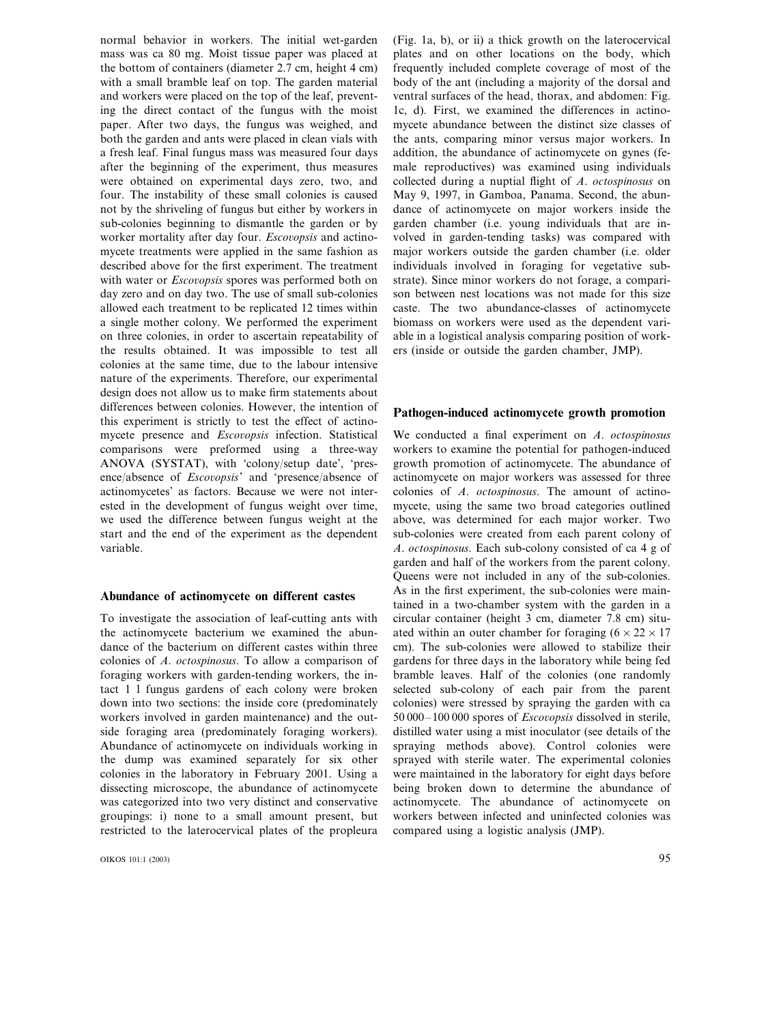normal behavior in workers. The initial wet-garden mass was ca 80 mg. Moist tissue paper was placed at the bottom of containers (diameter 2.7 cm, height 4 cm) with a small bramble leaf on top. The garden material and workers were placed on the top of the leaf, preventing the direct contact of the fungus with the moist paper. After two days, the fungus was weighed, and both the garden and ants were placed in clean vials with a fresh leaf. Final fungus mass was measured four days after the beginning of the experiment, thus measures were obtained on experimental days zero, two, and four. The instability of these small colonies is caused not by the shriveling of fungus but either by workers in sub-colonies beginning to dismantle the garden or by worker mortality after day four. *Escoopsis* and actinomycete treatments were applied in the same fashion as described above for the first experiment. The treatment with water or *Escoopsis* spores was performed both on day zero and on day two. The use of small sub-colonies allowed each treatment to be replicated 12 times within a single mother colony. We performed the experiment on three colonies, in order to ascertain repeatability of the results obtained. It was impossible to test all colonies at the same time, due to the labour intensive nature of the experiments. Therefore, our experimental design does not allow us to make firm statements about differences between colonies. However, the intention of this experiment is strictly to test the effect of actinomycete presence and *Escoopsis* infection. Statistical comparisons were preformed using a three-way ANOVA (SYSTAT), with 'colony/setup date', 'presence/absence of *Escoopsis*' and 'presence/absence of actinomycetes' as factors. Because we were not interested in the development of fungus weight over time, we used the difference between fungus weight at the start and the end of the experiment as the dependent variable.

#### **Abundance of actinomycete on different castes**

To investigate the association of leaf-cutting ants with the actinomycete bacterium we examined the abundance of the bacterium on different castes within three colonies of *A*. *octospinosus*. To allow a comparison of foraging workers with garden-tending workers, the intact 1 l fungus gardens of each colony were broken down into two sections: the inside core (predominately workers involved in garden maintenance) and the outside foraging area (predominately foraging workers). Abundance of actinomycete on individuals working in the dump was examined separately for six other colonies in the laboratory in February 2001. Using a dissecting microscope, the abundance of actinomycete was categorized into two very distinct and conservative groupings: i) none to a small amount present, but restricted to the laterocervical plates of the propleura

(Fig. 1a, b), or ii) a thick growth on the laterocervical plates and on other locations on the body, which frequently included complete coverage of most of the body of the ant (including a majority of the dorsal and ventral surfaces of the head, thorax, and abdomen: Fig. 1c, d). First, we examined the differences in actinomycete abundance between the distinct size classes of the ants, comparing minor versus major workers. In addition, the abundance of actinomycete on gynes (female reproductives) was examined using individuals collected during a nuptial flight of *A*. *octospinosus* on May 9, 1997, in Gamboa, Panama. Second, the abundance of actinomycete on major workers inside the garden chamber (i.e. young individuals that are involved in garden-tending tasks) was compared with major workers outside the garden chamber (i.e. older individuals involved in foraging for vegetative substrate). Since minor workers do not forage, a comparison between nest locations was not made for this size caste. The two abundance-classes of actinomycete biomass on workers were used as the dependent variable in a logistical analysis comparing position of workers (inside or outside the garden chamber, JMP).

#### **Pathogen-induced actinomycete growth promotion**

We conducted a final experiment on *A*. *octospinosus* workers to examine the potential for pathogen-induced growth promotion of actinomycete. The abundance of actinomycete on major workers was assessed for three colonies of *A*. *octospinosus*. The amount of actinomycete, using the same two broad categories outlined above, was determined for each major worker. Two sub-colonies were created from each parent colony of *A*. *octospinosus*. Each sub-colony consisted of ca 4 g of garden and half of the workers from the parent colony. Queens were not included in any of the sub-colonies. As in the first experiment, the sub-colonies were maintained in a two-chamber system with the garden in a circular container (height 3 cm, diameter 7.8 cm) situated within an outer chamber for foraging  $(6 \times 22 \times 17)$ cm). The sub-colonies were allowed to stabilize their gardens for three days in the laboratory while being fed bramble leaves. Half of the colonies (one randomly selected sub-colony of each pair from the parent colonies) were stressed by spraying the garden with ca 50 000–100 000 spores of *Escoopsis* dissolved in sterile, distilled water using a mist inoculator (see details of the spraying methods above). Control colonies were sprayed with sterile water. The experimental colonies were maintained in the laboratory for eight days before being broken down to determine the abundance of actinomycete. The abundance of actinomycete on workers between infected and uninfected colonies was compared using a logistic analysis (JMP).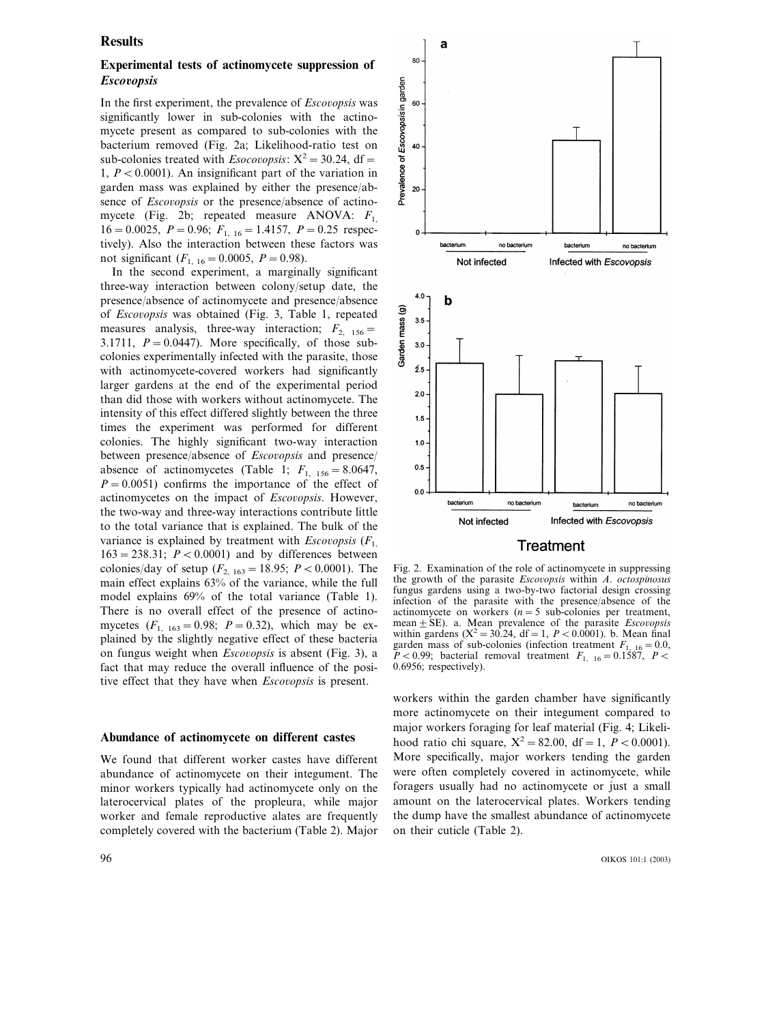## **Results**

# **Experimental tests of actinomycete suppression of** *Esco*-*opsis*

In the first experiment, the prevalence of *Escoopsis* was significantly lower in sub-colonies with the actinomycete present as compared to sub-colonies with the bacterium removed (Fig. 2a; Likelihood-ratio test on sub-colonies treated with *Esocovopsis*:  $X^2 = 30.24$ , df = 1,  $P < 0.0001$ ). An insignificant part of the variation in garden mass was explained by either the presence/absence of *Escoopsis* or the presence/absence of actinomycete (Fig. 2b; repeated measure ANOVA: *F*1,  $16=0.0025$ ,  $P=0.96$ ;  $F_{1, 16}=1.4157$ ,  $P=0.25$  respectively). Also the interaction between these factors was not significant  $(F_{1, 16} = 0.0005, P = 0.98)$ .

In the second experiment, a marginally significant three-way interaction between colony/setup date, the presence/absence of actinomycete and presence/absence of *Escoopsis* was obtained (Fig. 3, Table 1, repeated measures analysis, three-way interaction;  $F_{2, 156}$  = 3.1711,  $P = 0.0447$ ). More specifically, of those subcolonies experimentally infected with the parasite, those with actinomycete-covered workers had significantly larger gardens at the end of the experimental period than did those with workers without actinomycete. The intensity of this effect differed slightly between the three times the experiment was performed for different colonies. The highly significant two-way interaction between presence/absence of *Escoopsis* and presence/ absence of actinomycetes (Table 1;  $F_{1, 156} = 8.0647$ ,  $P=0.0051$ ) confirms the importance of the effect of actinomycetes on the impact of *Escoopsis*. However, the two-way and three-way interactions contribute little to the total variance that is explained. The bulk of the variance is explained by treatment with *Escovopsis*  $(F_1)$  $163 = 238.31$ ;  $P < 0.0001$ ) and by differences between colonies/day of setup  $(F_{2, 163} = 18.95; P < 0.0001)$ . The main effect explains 63% of the variance, while the full model explains 69% of the total variance (Table 1). There is no overall effect of the presence of actinomycetes  $(F_{1, 163} = 0.98; P = 0.32)$ , which may be explained by the slightly negative effect of these bacteria on fungus weight when *Escoopsis* is absent (Fig. 3), a fact that may reduce the overall influence of the positive effect that they have when *Escoopsis* is present.

#### **Abundance of actinomycete on different castes**

We found that different worker castes have different abundance of actinomycete on their integument. The minor workers typically had actinomycete only on the laterocervical plates of the propleura, while major worker and female reproductive alates are frequently completely covered with the bacterium (Table 2). Major



Fig. 2. Examination of the role of actinomycete in suppressing the growth of the parasite *Escoopsis* within *A*. *octospinosus* fungus gardens using a two-by-two factorial design crossing infection of the parasite with the presence/absence of the actinomycete on workers  $(n=5 \text{ sub-colories per treatment})$ , mean-SE). a. Mean prevalence of the parasite *Escoopsis* within gardens ( $X^2 = 30.24$ , df = 1, *P* < 0.0001). b. Mean final garden mass of sub-colonies (infection treatment  $F_{1, 16} = 0.0$ ,  $P < 0.99$ ; bacterial removal treatment  $F_{1, 16} = 0.1587$ ,  $P <$ 0.6956; respectively).

workers within the garden chamber have significantly more actinomycete on their integument compared to major workers foraging for leaf material (Fig. 4; Likelihood ratio chi square,  $X^2 = 82.00$ , df = 1, *P* < 0.0001). More specifically, major workers tending the garden were often completely covered in actinomycete, while foragers usually had no actinomycete or just a small amount on the laterocervical plates. Workers tending the dump have the smallest abundance of actinomycete on their cuticle (Table 2).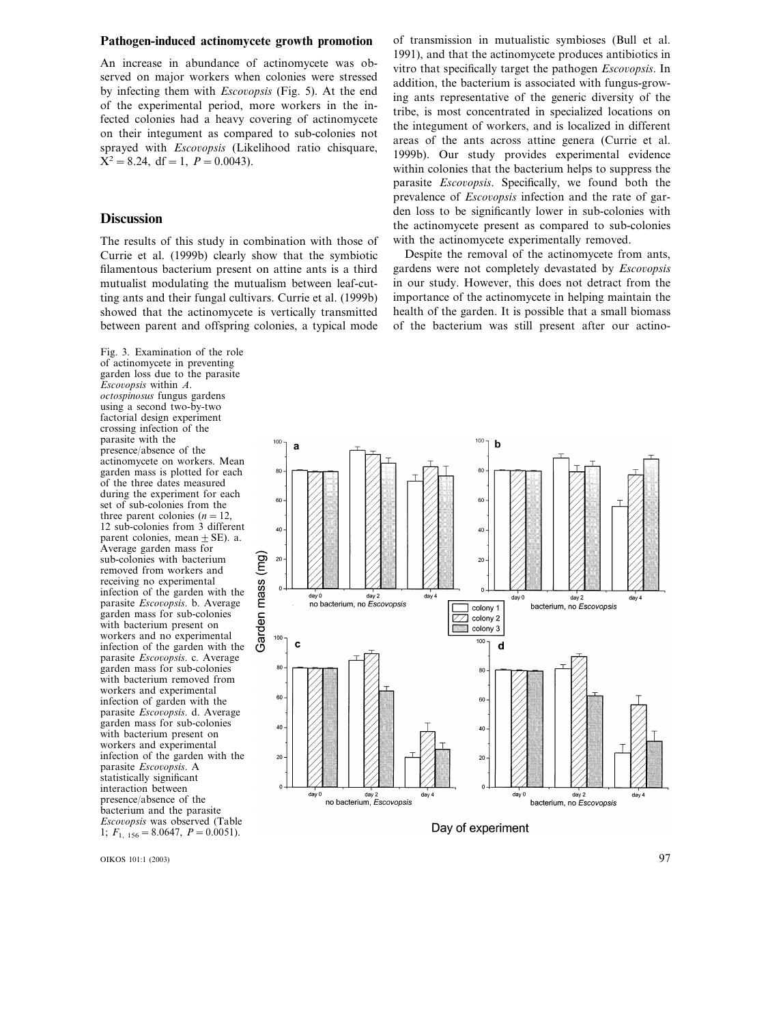#### **Pathogen-induced actinomycete growth promotion**

An increase in abundance of actinomycete was observed on major workers when colonies were stressed by infecting them with *Escoopsis* (Fig. 5). At the end of the experimental period, more workers in the infected colonies had a heavy covering of actinomycete on their integument as compared to sub-colonies not sprayed with *Escoopsis* (Likelihood ratio chisquare,  $X^2 = 8.24$ , df = 1,  $P = 0.0043$ ).

## **Discussion**

The results of this study in combination with those of Currie et al. (1999b) clearly show that the symbiotic filamentous bacterium present on attine ants is a third mutualist modulating the mutualism between leaf-cutting ants and their fungal cultivars. Currie et al. (1999b) showed that the actinomycete is vertically transmitted between parent and offspring colonies, a typical mode

Fig. 3. Examination of the role of actinomycete in preventing garden loss due to the parasite *Escoopsis* within *A*. *octospinosus* fungus gardens using a second two-by-two factorial design experiment crossing infection of the parasite with the presence/absence of the actinomycete on workers. Mean garden mass is plotted for each of the three dates measured during the experiment for each set of sub-colonies from the three parent colonies  $(n=12)$ . 12 sub-colonies from 3 different parent colonies, mean  $\pm$  SE). a. Average garden mass for sub-colonies with bacterium removed from workers and receiving no experimental infection of the garden with the parasite *Escoopsis*. b. Average garden mass for sub-colonies with bacterium present on workers and no experimental infection of the garden with the parasite *Escoopsis*. c. Average garden mass for sub-colonies with bacterium removed from workers and experimental infection of garden with the parasite *Escoopsis*. d. Average garden mass for sub-colonies with bacterium present on workers and experimental infection of the garden with the parasite *Escoopsis*. A statistically significant interaction between presence/absence of the bacterium and the parasite *Escoopsis* was observed (Table 1;  $F_{1, 156} = 8.0647, P = 0.0051$ .

OIKOS 101:1 (2003) 97

of transmission in mutualistic symbioses (Bull et al. 1991), and that the actinomycete produces antibiotics in vitro that specifically target the pathogen *Escoopsis*. In addition, the bacterium is associated with fungus-growing ants representative of the generic diversity of the tribe, is most concentrated in specialized locations on the integument of workers, and is localized in different areas of the ants across attine genera (Currie et al. 1999b). Our study provides experimental evidence within colonies that the bacterium helps to suppress the parasite *Escoopsis*. Specifically, we found both the prevalence of *Escoopsis* infection and the rate of garden loss to be significantly lower in sub-colonies with the actinomycete present as compared to sub-colonies with the actinomycete experimentally removed.

Despite the removal of the actinomycete from ants, gardens were not completely devastated by *Escoopsis* in our study. However, this does not detract from the importance of the actinomycete in helping maintain the health of the garden. It is possible that a small biomass of the bacterium was still present after our actino-



Day of experiment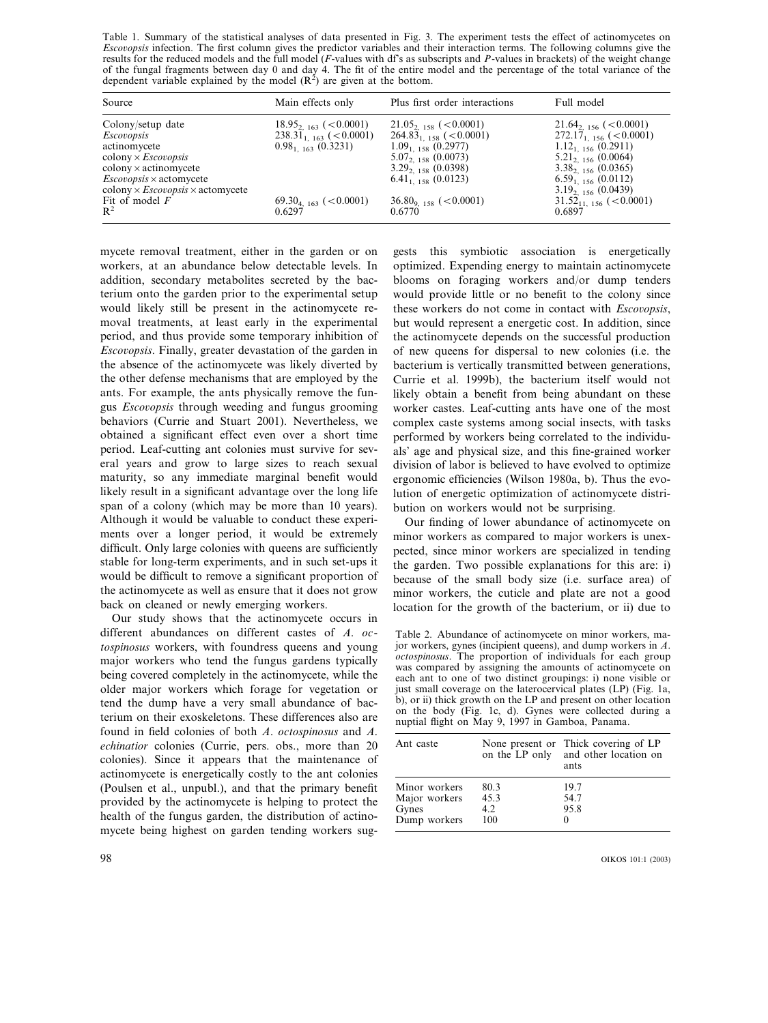Table 1. Summary of the statistical analyses of data presented in Fig. 3. The experiment tests the effect of actinomycetes on *Escoopsis* infection. The first column gives the predictor variables and their interaction terms. The following columns give the results for the reduced models and the full model (*F*-values with df's as subscripts and *P*-values in brackets) of the weight change of the fungal fragments between day 0 and day 4. The fit of the entire model and the percentage of the total variance of the dependent variable explained by the model  $(R^2)$  are given at the bottom.

| Source                                                                                                                                                                                                                                                                                               | Main effects only                                                                      | Plus first order interactions                                                                                                                                       | Full model                                                                                                                                                                                      |
|------------------------------------------------------------------------------------------------------------------------------------------------------------------------------------------------------------------------------------------------------------------------------------------------------|----------------------------------------------------------------------------------------|---------------------------------------------------------------------------------------------------------------------------------------------------------------------|-------------------------------------------------------------------------------------------------------------------------------------------------------------------------------------------------|
| Colony/setup date<br><i>Escovopsis</i><br>actinomycete<br>$\text{colony} \times E \text{scovopsis}$<br>$\text{colony} \times \text{actinomycete}$<br>$Escovopsis \times \text{actomycete}$<br>$\text{colony} \times \text{Ex} \text{cov} \text{opsis} \times \text{act} \text{om} \text{y} \text{c}$ | $18.95_{2,163}$ (<0.0001)<br>$238.31_{1.163}$ (<0.0001)<br>$0.981$ $_{163}$ $(0.3231)$ | $21.05_{2,158}$ (<0.0001)<br>$264.83_{1,158}$ (<0.0001)<br>$1.09_{1.158}$ (0.2977)<br>$5.07_{2.158}$ (0.0073)<br>$3.29_{2.158}$ (0.0398)<br>$6.41_{1.158}$ (0.0123) | $21.64_{2,156}$ (<0.0001)<br>$272.17_{1,156}$ (<0.0001)<br>$1.12_{1.156}$ (0.2911)<br>$5.21_{2.156}$ (0.0064)<br>$3.38_{2,156}$ (0.0365)<br>$6.59_{1, 156} (0.0112)$<br>$3.19_{2,156}$ (0.0439) |
| Fit of model $F$<br>$R^2$                                                                                                                                                                                                                                                                            | $69.30_{4.163}$ (<0.0001)<br>0.6297                                                    | $36.80_{9,158}$ (<0.0001)<br>0.6770                                                                                                                                 | $31.52_{11, 156}$ (<0.0001)<br>0.6897                                                                                                                                                           |

mycete removal treatment, either in the garden or on workers, at an abundance below detectable levels. In addition, secondary metabolites secreted by the bacterium onto the garden prior to the experimental setup would likely still be present in the actinomycete removal treatments, at least early in the experimental period, and thus provide some temporary inhibition of *Escoopsis*. Finally, greater devastation of the garden in the absence of the actinomycete was likely diverted by the other defense mechanisms that are employed by the ants. For example, the ants physically remove the fungus *Escoopsis* through weeding and fungus grooming behaviors (Currie and Stuart 2001). Nevertheless, we obtained a significant effect even over a short time period. Leaf-cutting ant colonies must survive for several years and grow to large sizes to reach sexual maturity, so any immediate marginal benefit would likely result in a significant advantage over the long life span of a colony (which may be more than 10 years). Although it would be valuable to conduct these experiments over a longer period, it would be extremely difficult. Only large colonies with queens are sufficiently stable for long-term experiments, and in such set-ups it would be difficult to remove a significant proportion of the actinomycete as well as ensure that it does not grow back on cleaned or newly emerging workers.

Our study shows that the actinomycete occurs in different abundances on different castes of *A*. *octospinosus* workers, with foundress queens and young major workers who tend the fungus gardens typically being covered completely in the actinomycete, while the older major workers which forage for vegetation or tend the dump have a very small abundance of bacterium on their exoskeletons. These differences also are found in field colonies of both *A*. *octospinosus* and *A*. *echinatior* colonies (Currie, pers. obs., more than 20 colonies). Since it appears that the maintenance of actinomycete is energetically costly to the ant colonies (Poulsen et al., unpubl.), and that the primary benefit provided by the actinomycete is helping to protect the health of the fungus garden, the distribution of actinomycete being highest on garden tending workers sug-

gests this symbiotic association is energetically optimized. Expending energy to maintain actinomycete blooms on foraging workers and/or dump tenders would provide little or no benefit to the colony since these workers do not come in contact with *Escoopsis*, but would represent a energetic cost. In addition, since the actinomycete depends on the successful production of new queens for dispersal to new colonies (i.e. the bacterium is vertically transmitted between generations, Currie et al. 1999b), the bacterium itself would not likely obtain a benefit from being abundant on these worker castes. Leaf-cutting ants have one of the most complex caste systems among social insects, with tasks performed by workers being correlated to the individuals' age and physical size, and this fine-grained worker division of labor is believed to have evolved to optimize ergonomic efficiencies (Wilson 1980a, b). Thus the evolution of energetic optimization of actinomycete distribution on workers would not be surprising.

Our finding of lower abundance of actinomycete on minor workers as compared to major workers is unexpected, since minor workers are specialized in tending the garden. Two possible explanations for this are: i) because of the small body size (i.e. surface area) of minor workers, the cuticle and plate are not a good location for the growth of the bacterium, or ii) due to

Table 2. Abundance of actinomycete on minor workers, major workers, gynes (incipient queens), and dump workers in *A*. *octospinosus*. The proportion of individuals for each group was compared by assigning the amounts of actinomycete on each ant to one of two distinct groupings: i) none visible or just small coverage on the laterocervical plates (LP) (Fig. 1a, b), or ii) thick growth on the LP and present on other location on the body (Fig. 1c, d). Gynes were collected during a nuptial flight on May 9, 1997 in Gamboa, Panama.

| Ant caste     |      | None present or Thick covering of LP<br>on the LP only and other location on<br>ants |
|---------------|------|--------------------------------------------------------------------------------------|
| Minor workers | 80.3 | 19.7                                                                                 |
| Major workers | 45.3 | 54.7                                                                                 |
| Gynes         | 4.2  | 95.8                                                                                 |
| Dump workers  | 100  | $\Omega$                                                                             |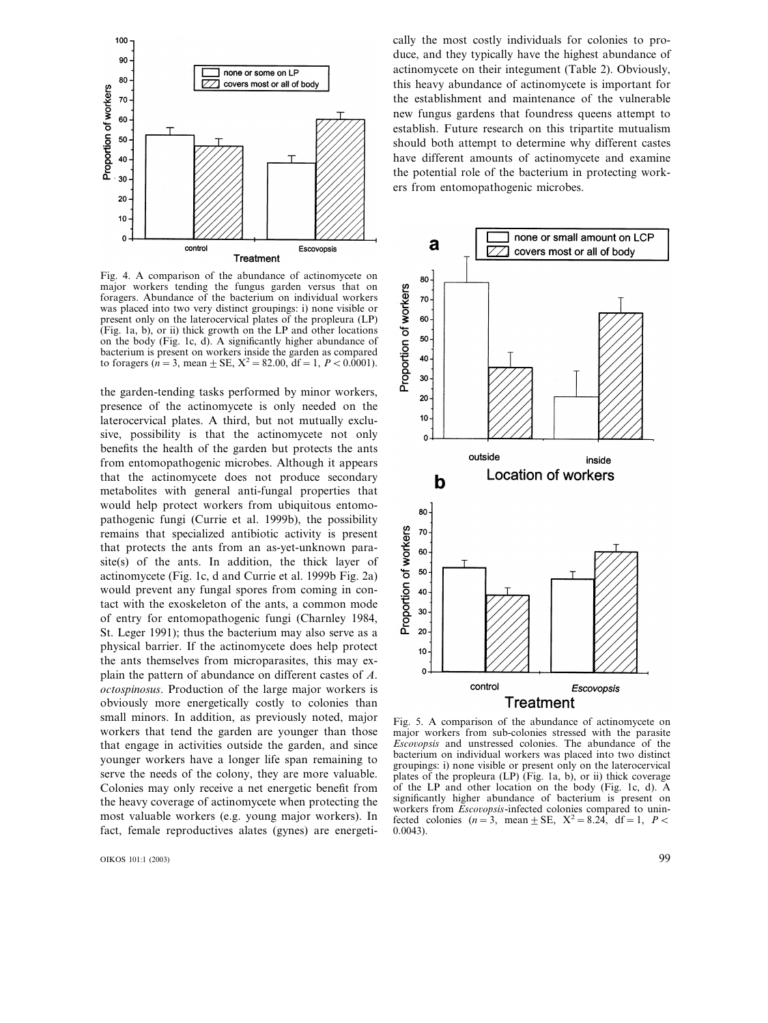

Fig. 4. A comparison of the abundance of actinomycete on major workers tending the fungus garden versus that on foragers. Abundance of the bacterium on individual workers was placed into two very distinct groupings: i) none visible or present only on the laterocervical plates of the propleura (LP) (Fig. 1a, b), or ii) thick growth on the LP and other locations on the body (Fig. 1c, d). A significantly higher abundance of bacterium is present on workers inside the garden as compared to foragers ( $n = 3$ , mean  $\pm$  SE,  $X^2 = 82.00$ , df = 1,  $P < 0.0001$ ).

the garden-tending tasks performed by minor workers, presence of the actinomycete is only needed on the laterocervical plates. A third, but not mutually exclusive, possibility is that the actinomycete not only benefits the health of the garden but protects the ants from entomopathogenic microbes. Although it appears that the actinomycete does not produce secondary metabolites with general anti-fungal properties that would help protect workers from ubiquitous entomopathogenic fungi (Currie et al. 1999b), the possibility remains that specialized antibiotic activity is present that protects the ants from an as-yet-unknown parasite(s) of the ants. In addition, the thick layer of actinomycete (Fig. 1c, d and Currie et al. 1999b Fig. 2a) would prevent any fungal spores from coming in contact with the exoskeleton of the ants, a common mode of entry for entomopathogenic fungi (Charnley 1984, St. Leger 1991); thus the bacterium may also serve as a physical barrier. If the actinomycete does help protect the ants themselves from microparasites, this may explain the pattern of abundance on different castes of *A*. *octospinosus*. Production of the large major workers is obviously more energetically costly to colonies than small minors. In addition, as previously noted, major workers that tend the garden are younger than those that engage in activities outside the garden, and since younger workers have a longer life span remaining to serve the needs of the colony, they are more valuable. Colonies may only receive a net energetic benefit from the heavy coverage of actinomycete when protecting the most valuable workers (e.g. young major workers). In fact, female reproductives alates (gynes) are energeti-

OIKOS 101:1 (2003) 99

cally the most costly individuals for colonies to produce, and they typically have the highest abundance of actinomycete on their integument (Table 2). Obviously, this heavy abundance of actinomycete is important for the establishment and maintenance of the vulnerable new fungus gardens that foundress queens attempt to establish. Future research on this tripartite mutualism should both attempt to determine why different castes have different amounts of actinomycete and examine the potential role of the bacterium in protecting workers from entomopathogenic microbes.



Fig. 5. A comparison of the abundance of actinomycete on major workers from sub-colonies stressed with the parasite *Escoopsis* and unstressed colonies. The abundance of the bacterium on individual workers was placed into two distinct groupings: i) none visible or present only on the laterocervical plates of the propleura (LP) (Fig. 1a, b), or ii) thick coverage of the LP and other location on the body (Fig. 1c, d). A significantly higher abundance of bacterium is present on workers from *Escoopsis*-infected colonies compared to uninfected colonies  $(n=3, \text{ mean } \pm \text{ SE}, X^2 = 8.24, df = 1, P <$ 0.0043).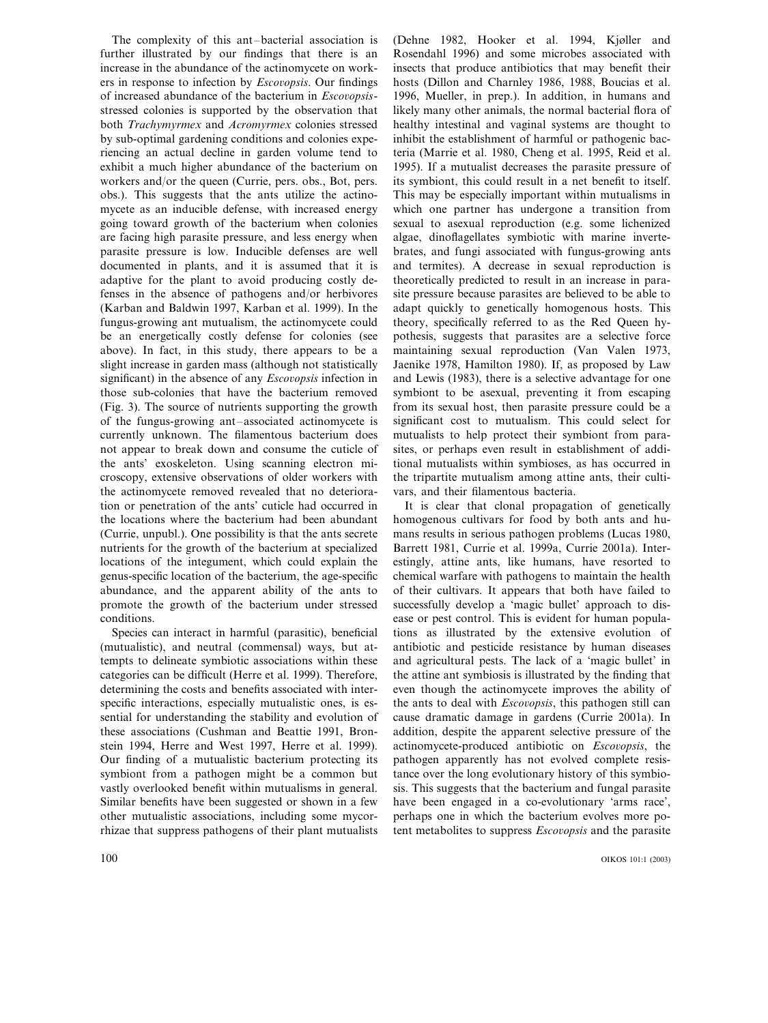The complexity of this ant–bacterial association is further illustrated by our findings that there is an increase in the abundance of the actinomycete on workers in response to infection by *Escoopsis*. Our findings of increased abundance of the bacterium in *Escoopsis*stressed colonies is supported by the observation that both *Trachymyrmex* and *Acromyrmex* colonies stressed by sub-optimal gardening conditions and colonies experiencing an actual decline in garden volume tend to exhibit a much higher abundance of the bacterium on workers and/or the queen (Currie, pers. obs., Bot, pers. obs.). This suggests that the ants utilize the actinomycete as an inducible defense, with increased energy going toward growth of the bacterium when colonies are facing high parasite pressure, and less energy when parasite pressure is low. Inducible defenses are well documented in plants, and it is assumed that it is adaptive for the plant to avoid producing costly defenses in the absence of pathogens and/or herbivores (Karban and Baldwin 1997, Karban et al. 1999). In the fungus-growing ant mutualism, the actinomycete could be an energetically costly defense for colonies (see above). In fact, in this study, there appears to be a slight increase in garden mass (although not statistically significant) in the absence of any *Escoopsis* infection in those sub-colonies that have the bacterium removed (Fig. 3). The source of nutrients supporting the growth of the fungus-growing ant–associated actinomycete is currently unknown. The filamentous bacterium does not appear to break down and consume the cuticle of the ants' exoskeleton. Using scanning electron microscopy, extensive observations of older workers with the actinomycete removed revealed that no deterioration or penetration of the ants' cuticle had occurred in the locations where the bacterium had been abundant (Currie, unpubl.). One possibility is that the ants secrete nutrients for the growth of the bacterium at specialized locations of the integument, which could explain the genus-specific location of the bacterium, the age-specific abundance, and the apparent ability of the ants to promote the growth of the bacterium under stressed conditions.

Species can interact in harmful (parasitic), beneficial (mutualistic), and neutral (commensal) ways, but attempts to delineate symbiotic associations within these categories can be difficult (Herre et al. 1999). Therefore, determining the costs and benefits associated with interspecific interactions, especially mutualistic ones, is essential for understanding the stability and evolution of these associations (Cushman and Beattie 1991, Bronstein 1994, Herre and West 1997, Herre et al. 1999). Our finding of a mutualistic bacterium protecting its symbiont from a pathogen might be a common but vastly overlooked benefit within mutualisms in general. Similar benefits have been suggested or shown in a few other mutualistic associations, including some mycorrhizae that suppress pathogens of their plant mutualists

(Dehne 1982, Hooker et al. 1994, Kjøller and Rosendahl 1996) and some microbes associated with insects that produce antibiotics that may benefit their hosts (Dillon and Charnley 1986, 1988, Boucias et al. 1996, Mueller, in prep.). In addition, in humans and likely many other animals, the normal bacterial flora of healthy intestinal and vaginal systems are thought to inhibit the establishment of harmful or pathogenic bacteria (Marrie et al. 1980, Cheng et al. 1995, Reid et al. 1995). If a mutualist decreases the parasite pressure of its symbiont, this could result in a net benefit to itself. This may be especially important within mutualisms in which one partner has undergone a transition from sexual to asexual reproduction (e.g. some lichenized algae, dinoflagellates symbiotic with marine invertebrates, and fungi associated with fungus-growing ants and termites). A decrease in sexual reproduction is theoretically predicted to result in an increase in parasite pressure because parasites are believed to be able to adapt quickly to genetically homogenous hosts. This theory, specifically referred to as the Red Queen hypothesis, suggests that parasites are a selective force maintaining sexual reproduction (Van Valen 1973, Jaenike 1978, Hamilton 1980). If, as proposed by Law and Lewis (1983), there is a selective advantage for one symbiont to be asexual, preventing it from escaping from its sexual host, then parasite pressure could be a significant cost to mutualism. This could select for mutualists to help protect their symbiont from parasites, or perhaps even result in establishment of additional mutualists within symbioses, as has occurred in the tripartite mutualism among attine ants, their cultivars, and their filamentous bacteria.

It is clear that clonal propagation of genetically homogenous cultivars for food by both ants and humans results in serious pathogen problems (Lucas 1980, Barrett 1981, Currie et al. 1999a, Currie 2001a). Interestingly, attine ants, like humans, have resorted to chemical warfare with pathogens to maintain the health of their cultivars. It appears that both have failed to successfully develop a 'magic bullet' approach to disease or pest control. This is evident for human populations as illustrated by the extensive evolution of antibiotic and pesticide resistance by human diseases and agricultural pests. The lack of a 'magic bullet' in the attine ant symbiosis is illustrated by the finding that even though the actinomycete improves the ability of the ants to deal with *Escoopsis*, this pathogen still can cause dramatic damage in gardens (Currie 2001a). In addition, despite the apparent selective pressure of the actinomycete-produced antibiotic on *Escoopsis*, the pathogen apparently has not evolved complete resistance over the long evolutionary history of this symbiosis. This suggests that the bacterium and fungal parasite have been engaged in a co-evolutionary 'arms race', perhaps one in which the bacterium evolves more potent metabolites to suppress *Escoopsis* and the parasite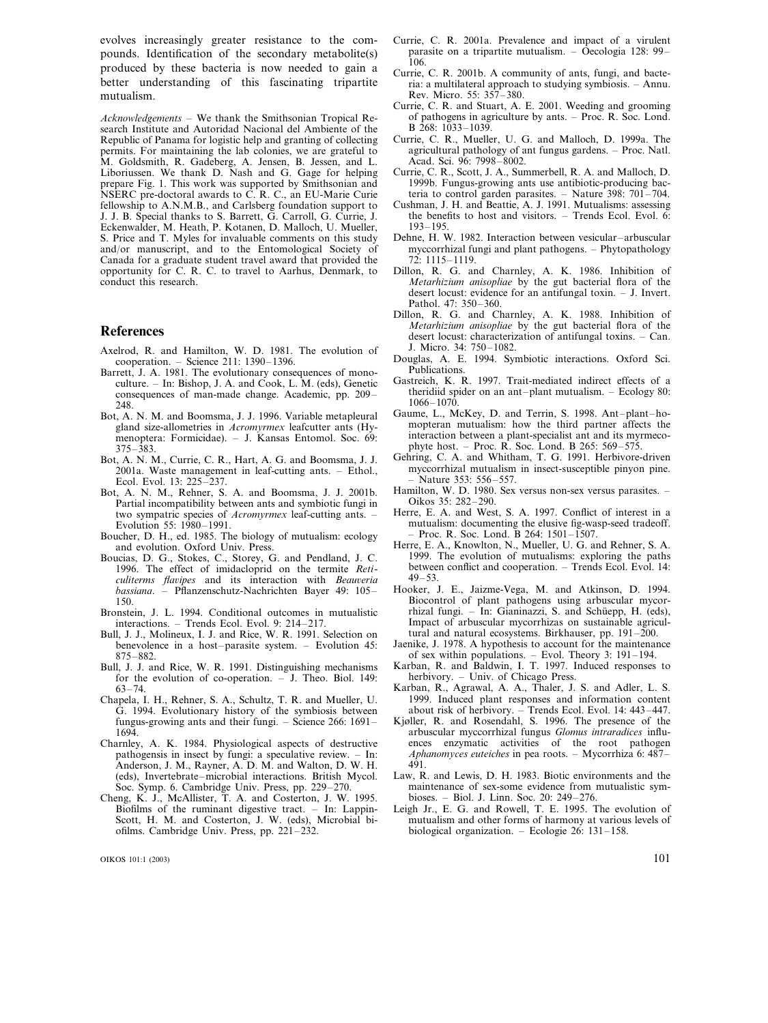evolves increasingly greater resistance to the compounds. Identification of the secondary metabolite(s) produced by these bacteria is now needed to gain a better understanding of this fascinating tripartite mutualism.

*Acknowledgements* – We thank the Smithsonian Tropical Research Institute and Autoridad Nacional del Ambiente of the Republic of Panama for logistic help and granting of collecting permits. For maintaining the lab colonies, we are grateful to M. Goldsmith, R. Gadeberg, A. Jensen, B. Jessen, and L. Liboriussen. We thank D. Nash and G. Gage for helping prepare Fig. 1. This work was supported by Smithsonian and NSERC pre-doctoral awards to C. R. C., an EU-Marie Curie fellowship to A.N.M.B., and Carlsberg foundation support to J. J. B. Special thanks to S. Barrett, G. Carroll, G. Currie, J. Eckenwalder, M. Heath, P. Kotanen, D. Malloch, U. Mueller, S. Price and T. Myles for invaluable comments on this study and/or manuscript, and to the Entomological Society of Canada for a graduate student travel award that provided the opportunity for C. R. C. to travel to Aarhus, Denmark, to conduct this research.

#### **References**

- Axelrod, R. and Hamilton, W. D. 1981. The evolution of cooperation. – Science 211: 1390–1396.
- Barrett, J. A. 1981. The evolutionary consequences of monoculture. – In: Bishop, J. A. and Cook, L. M. (eds), Genetic consequences of man-made change. Academic, pp. 209– 248.
- Bot, A. N. M. and Boomsma, J. J. 1996. Variable metapleural gland size-allometries in *Acromyrmex* leafcutter ants (Hymenoptera: Formicidae). – J. Kansas Entomol. Soc. 69: 375–383.
- Bot, A. N. M., Currie, C. R., Hart, A. G. and Boomsma, J. J. 2001a. Waste management in leaf-cutting ants. – Ethol., Ecol. Evol. 13: 225–237.
- Bot, A. N. M., Rehner, S. A. and Boomsma, J. J. 2001b. Partial incompatibility between ants and symbiotic fungi in two sympatric species of *Acromyrmex* leaf-cutting ants. – Evolution 55: 1980-1991.
- Boucher, D. H., ed. 1985. The biology of mutualism: ecology and evolution. Oxford Univ. Press.
- Boucias, D. G., Stokes, C., Storey, G. and Pendland, J. C. 1996. The effect of imidacloprid on the termite *Reticuliterms flaipes* and its interaction with *Beaueria bassiana*. – Pflanzenschutz-Nachrichten Bayer 49: 105– 150.
- Bronstein, J. L. 1994. Conditional outcomes in mutualistic interactions. – Trends Ecol. Evol. 9: 214–217.
- Bull, J. J., Molineux, I. J. and Rice, W. R. 1991. Selection on benevolence in a host–parasite system. – Evolution 45: 875–882.
- Bull, J. J. and Rice, W. R. 1991. Distinguishing mechanisms for the evolution of co-operation. – J. Theo. Biol. 149: 63–74.
- Chapela, I. H., Rehner, S. A., Schultz, T. R. and Mueller, U. G. 1994. Evolutionary history of the symbiosis between fungus-growing ants and their fungi. – Science 266: 1691– 1694.
- Charnley, A. K. 1984. Physiological aspects of destructive pathogensis in insect by fungi: a speculative review. – In: Anderson, J. M., Rayner, A. D. M. and Walton, D. W. H. (eds), Invertebrate–microbial interactions. British Mycol. Soc. Symp. 6. Cambridge Univ. Press, pp. 229–270.
- Cheng, K. J., McAllister, T. A. and Costerton, J. W. 1995. Biofilms of the ruminant digestive tract. – In: Lappin-Scott, H. M. and Costerton, J. W. (eds), Microbial biofilms. Cambridge Univ. Press, pp. 221–232.
- OIKOS 101:1 (2003) 101
- Currie, C. R. 2001a. Prevalence and impact of a virulent parasite on a tripartite mutualism. – Oecologia 128: 99– 106.
- Currie, C. R. 2001b. A community of ants, fungi, and bacteria: a multilateral approach to studying symbiosis. – Annu. Rev. Micro. 55: 357–380.
- Currie, C. R. and Stuart, A. E. 2001. Weeding and grooming of pathogens in agriculture by ants. – Proc. R. Soc. Lond. B 268: 1033–1039.
- Currie, C. R., Mueller, U. G. and Malloch, D. 1999a. The agricultural pathology of ant fungus gardens. – Proc. Natl. Acad. Sci. 96: 7998–8002.
- Currie, C. R., Scott, J. A., Summerbell, R. A. and Malloch, D. 1999b. Fungus-growing ants use antibiotic-producing bacteria to control garden parasites. – Nature 398:  $701-704$ .
- Cushman, J. H. and Beattie, A. J. 1991. Mutualisms: assessing the benefits to host and visitors. – Trends Ecol. Evol. 6: 193–195.
- Dehne, H. W. 1982. Interaction between vesicular–arbuscular myccorrhizal fungi and plant pathogens. – Phytopathology 72: 1115–1119.
- Dillon, R. G. and Charnley, A. K. 1986. Inhibition of *Metarhizium anisopliae* by the gut bacterial flora of the desert locust: evidence for an antifungal toxin. – J. Invert. Pathol. 47: 350–360.
- Dillon, R. G. and Charnley, A. K. 1988. Inhibition of *Metarhizium anisopliae* by the gut bacterial flora of the desert locust: characterization of antifungal toxins. – Can. J. Micro. 34: 750–1082.
- Douglas, A. E. 1994. Symbiotic interactions. Oxford Sci. Publications.
- Gastreich, K. R. 1997. Trait-mediated indirect effects of a theridiid spider on an ant–plant mutualism. – Ecology 80: 1066–1070.
- Gaume, L., McKey, D. and Terrin, S. 1998. Ant–plant–homopteran mutualism: how the third partner affects the interaction between a plant-specialist ant and its myrmecophyte host. – Proc. R. Soc. Lond. B  $265: 569-575$ .
- Gehring, C. A. and Whitham, T. G. 1991. Herbivore-driven myccorrhizal mutualism in insect-susceptible pinyon pine. – Nature 353: 556–557.
- Hamilton, W. D. 1980. Sex versus non-sex versus parasites. Oikos 35: 282–290.
- Herre, E. A. and West, S. A. 1997. Conflict of interest in a mutualism: documenting the elusive fig-wasp-seed tradeoff. – Proc. R. Soc. Lond. B 264: 1501–1507.
- Herre, E. A., Knowlton, N., Mueller, U. G. and Rehner, S. A. 1999. The evolution of mutualisms: exploring the paths between conflict and cooperation. – Trends Ecol. Evol. 14:  $49 - 53$ .
- Hooker, J. E., Jaizme-Vega, M. and Atkinson, D. 1994. Biocontrol of plant pathogens using arbuscular mycorrhizal fungi. – In: Gianinazzi, S. and Schüepp, H. (eds), Impact of arbuscular mycorrhizas on sustainable agricultural and natural ecosystems. Birkhauser, pp. 191–200.
- Jaenike, J. 1978. A hypothesis to account for the maintenance of sex within populations. – Evol. Theory 3: 191–194.
- Karban, R. and Baldwin, I. T. 1997. Induced responses to herbivory. – Univ. of Chicago Press.
- Karban, R., Agrawal, A. A., Thaler, J. S. and Adler, L. S. 1999. Induced plant responses and information content about risk of herbivory. – Trends Ecol. Evol. 14: 443–447.
- Kjøller, R. and Rosendahl, S. 1996. The presence of the arbuscular myccorrhizal fungus *Glomus intraradices* influences enzymatic activities of the root pathogen *Aphanomyces euteiches* in pea roots. – Mycorrhiza 6: 487– 491.
- Law, R. and Lewis, D. H. 1983. Biotic environments and the maintenance of sex-some evidence from mutualistic symbioses. – Biol. J. Linn. Soc. 20: 249–276.
- Leigh Jr., E. G. and Rowell, T. E. 1995. The evolution of mutualism and other forms of harmony at various levels of biological organization. – Ecologie 26: 131–158.